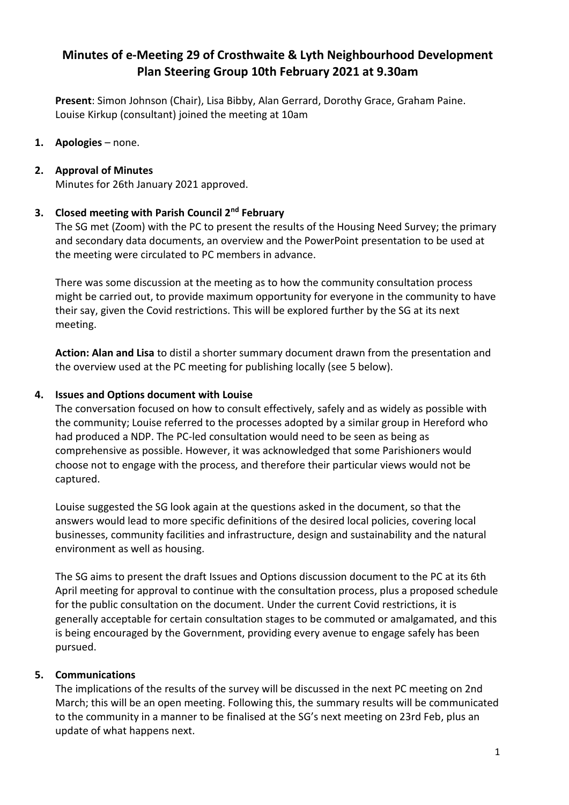# **Minutes of e-Meeting 29 of Crosthwaite & Lyth Neighbourhood Development Plan Steering Group 10th February 2021 at 9.30am**

**Present**: Simon Johnson (Chair), Lisa Bibby, Alan Gerrard, Dorothy Grace, Graham Paine. Louise Kirkup (consultant) joined the meeting at 10am

**1. Apologies** – none.

### **2. Approval of Minutes**

Minutes for 26th January 2021 approved.

#### **3. Closed meeting with Parish Council 2nd February**

The SG met (Zoom) with the PC to present the results of the Housing Need Survey; the primary and secondary data documents, an overview and the PowerPoint presentation to be used at the meeting were circulated to PC members in advance.

There was some discussion at the meeting as to how the community consultation process might be carried out, to provide maximum opportunity for everyone in the community to have their say, given the Covid restrictions. This will be explored further by the SG at its next meeting.

**Action: Alan and Lisa** to distil a shorter summary document drawn from the presentation and the overview used at the PC meeting for publishing locally (see 5 below).

#### **4. Issues and Options document with Louise**

The conversation focused on how to consult effectively, safely and as widely as possible with the community; Louise referred to the processes adopted by a similar group in Hereford who had produced a NDP. The PC-led consultation would need to be seen as being as comprehensive as possible. However, it was acknowledged that some Parishioners would choose not to engage with the process, and therefore their particular views would not be captured.

Louise suggested the SG look again at the questions asked in the document, so that the answers would lead to more specific definitions of the desired local policies, covering local businesses, community facilities and infrastructure, design and sustainability and the natural environment as well as housing.

The SG aims to present the draft Issues and Options discussion document to the PC at its 6th April meeting for approval to continue with the consultation process, plus a proposed schedule for the public consultation on the document. Under the current Covid restrictions, it is generally acceptable for certain consultation stages to be commuted or amalgamated, and this is being encouraged by the Government, providing every avenue to engage safely has been pursued.

## **5. Communications**

The implications of the results of the survey will be discussed in the next PC meeting on 2nd March; this will be an open meeting. Following this, the summary results will be communicated to the community in a manner to be finalised at the SG's next meeting on 23rd Feb, plus an update of what happens next.